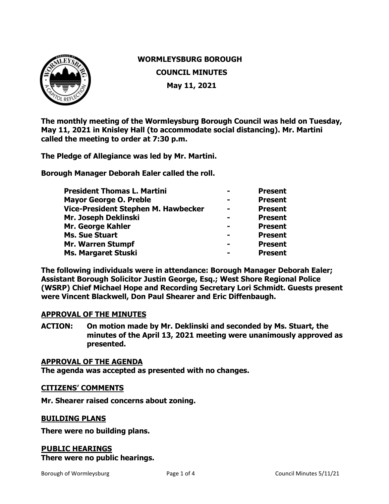

# **WORMLEYSBURG BOROUGH COUNCIL MINUTES May 11, 2021**

**The monthly meeting of the Wormleysburg Borough Council was held on Tuesday, May 11, 2021 in Knisley Hall (to accommodate social distancing). Mr. Martini called the meeting to order at 7:30 p.m.**

**The Pledge of Allegiance was led by Mr. Martini.** 

**Borough Manager Deborah Ealer called the roll.** 

| <b>President Thomas L. Martini</b>  |                | <b>Present</b> |
|-------------------------------------|----------------|----------------|
| <b>Mayor George O. Preble</b>       |                | <b>Present</b> |
| Vice-President Stephen M. Hawbecker |                | <b>Present</b> |
| Mr. Joseph Deklinski                |                | <b>Present</b> |
| Mr. George Kahler                   |                | <b>Present</b> |
| <b>Ms. Sue Stuart</b>               | $\blacksquare$ | <b>Present</b> |
| <b>Mr. Warren Stumpf</b>            |                | <b>Present</b> |
| Ms. Margaret Stuski                 |                | <b>Present</b> |

**The following individuals were in attendance: Borough Manager Deborah Ealer; Assistant Borough Solicitor Justin George, Esq.; West Shore Regional Police (WSRP) Chief Michael Hope and Recording Secretary Lori Schmidt. Guests present were Vincent Blackwell, Don Paul Shearer and Eric Diffenbaugh.**

# **APPROVAL OF THE MINUTES**

**ACTION: On motion made by Mr. Deklinski and seconded by Ms. Stuart, the minutes of the April 13, 2021 meeting were unanimously approved as presented.** 

## **APPROVAL OF THE AGENDA**

**The agenda was accepted as presented with no changes.**

## **CITIZENS' COMMENTS**

**Mr. Shearer raised concerns about zoning.**

## **BUILDING PLANS**

**There were no building plans.** 

# **PUBLIC HEARINGS**

**There were no public hearings.**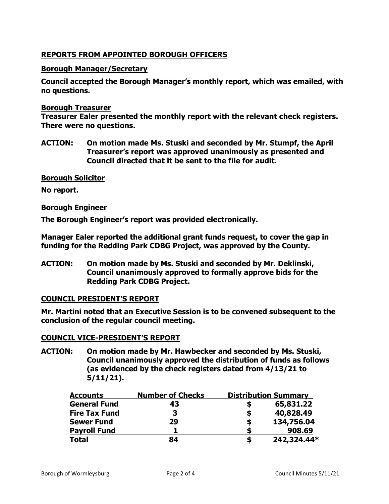# **REPORTS FROM APPOINTED BOROUGH OFFICERS**

# **Borough Manager/Secretary**

**Council accepted the Borough Manager's monthly report, which was emailed, with no questions.**

## **Borough Treasurer**

**Treasurer Ealer presented the monthly report with the relevant check registers. There were no questions.** 

**ACTION: On motion made Ms. Stuski and seconded by Mr. Stumpf, the April Treasurer's report was approved unanimously as presented and Council directed that it be sent to the file for audit.** 

**Borough Solicitor**

**No report.** 

## **Borough Engineer**

**The Borough Engineer's report was provided electronically.** 

**Manager Ealer reported the additional grant funds request, to cover the gap in funding for the Redding Park CDBG Project, was approved by the County.** 

**ACTION: On motion made by Ms. Stuski and seconded by Mr. Deklinski, Council unanimously approved to formally approve bids for the Redding Park CDBG Project.** 

# **COUNCIL PRESIDENT'S REPORT**

**Mr. Martini noted that an Executive Session is to be convened subsequent to the conclusion of the regular council meeting.**

# **COUNCIL VICE-PRESIDENT'S REPORT**

**ACTION: On motion made by Mr. Hawbecker and seconded by Ms. Stuski, Council unanimously approved the distribution of funds as follows (as evidenced by the check registers dated from 4/13/21 to 5/11/21).**

| <b>Accounts</b>      | <b>Number of Checks</b> |   | <b>Distribution Summary</b> |
|----------------------|-------------------------|---|-----------------------------|
| <b>General Fund</b>  | 43                      |   | 65,831.22                   |
| <b>Fire Tax Fund</b> | З                       | S | 40,828.49                   |
| <b>Sewer Fund</b>    | 29                      | S | 134,756.04                  |
| <b>Payroll Fund</b>  |                         |   | 908.69                      |
| <b>Total</b>         | 84                      | S | 242,324.44*                 |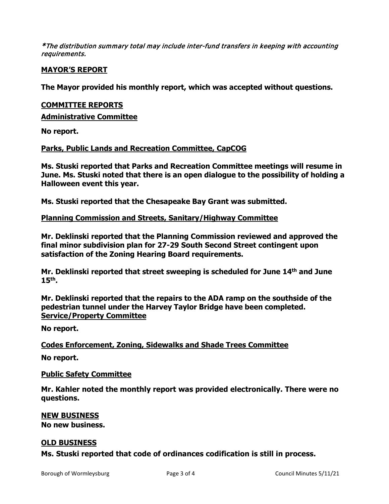\*The distribution summary total may include inter-fund transfers in keeping with accounting requirements.

# **MAYOR'S REPORT**

**The Mayor provided his monthly report, which was accepted without questions.** 

## **COMMITTEE REPORTS**

**Administrative Committee** 

**No report.**

# **Parks, Public Lands and Recreation Committee, CapCOG**

**Ms. Stuski reported that Parks and Recreation Committee meetings will resume in June. Ms. Stuski noted that there is an open dialogue to the possibility of holding a Halloween event this year.**

**Ms. Stuski reported that the Chesapeake Bay Grant was submitted.**

# **Planning Commission and Streets, Sanitary/Highway Committee**

**Mr. Deklinski reported that the Planning Commission reviewed and approved the final minor subdivision plan for 27-29 South Second Street contingent upon satisfaction of the Zoning Hearing Board requirements.**

**Mr. Deklinski reported that street sweeping is scheduled for June 14th and June 15th.**

**Mr. Deklinski reported that the repairs to the ADA ramp on the southside of the pedestrian tunnel under the Harvey Taylor Bridge have been completed. Service/Property Committee**

**No report.**

# **Codes Enforcement, Zoning, Sidewalks and Shade Trees Committee**

**No report.**

## **Public Safety Committee**

**Mr. Kahler noted the monthly report was provided electronically. There were no questions.** 

## **NEW BUSINESS**

**No new business.**

# **OLD BUSINESS**

**Ms. Stuski reported that code of ordinances codification is still in process.**